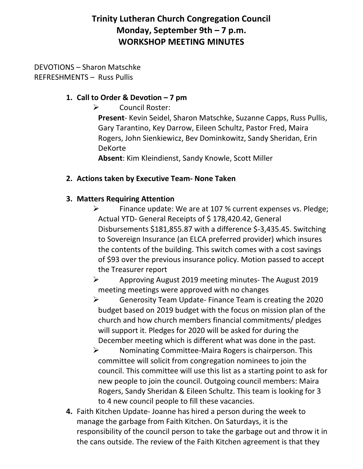# **Trinity Lutheran Church Congregation Council Monday, September 9th – 7 p.m. WORKSHOP MEETING MINUTES**

#### DEVOTIONS – Sharon Matschke REFRESHMENTS – Russ Pullis

### **1. Call to Order & Devotion – 7 pm**

➢ Council Roster:

**Present**- Kevin Seidel, Sharon Matschke, Suzanne Capps, Russ Pullis, Gary Tarantino, Key Darrow, Eileen Schultz, Pastor Fred, Maira Rogers, John Sienkiewicz, Bev Dominkowitz, Sandy Sheridan, Erin DeKorte

**Absent**: Kim Kleindienst, Sandy Knowle, Scott Miller

## **2. Actions taken by Executive Team- None Taken**

## **3. Matters Requiring Attention**

➢ Finance update: We are at 107 % current expenses vs. Pledge; Actual YTD- General Receipts of \$ 178,420.42, General Disbursements \$181,855.87 with a difference \$-3,435.45. Switching to Sovereign Insurance (an ELCA preferred provider) which insures the contents of the building. This switch comes with a cost savings of \$93 over the previous insurance policy. Motion passed to accept the Treasurer report

➢ Approving August 2019 meeting minutes- The August 2019 meeting meetings were approved with no changes

➢ Generosity Team Update- Finance Team is creating the 2020 budget based on 2019 budget with the focus on mission plan of the church and how church members financial commitments/ pledges will support it. Pledges for 2020 will be asked for during the December meeting which is different what was done in the past.

- ➢ Nominating Committee-Maira Rogers is chairperson. This committee will solicit from congregation nominees to join the council. This committee will use this list as a starting point to ask for new people to join the council. Outgoing council members: Maira Rogers, Sandy Sheridan & Eileen Schultz. This team is looking for 3 to 4 new council people to fill these vacancies.
- **4.** Faith Kitchen Update- Joanne has hired a person during the week to manage the garbage from Faith Kitchen. On Saturdays, it is the responsibility of the council person to take the garbage out and throw it in the cans outside. The review of the Faith Kitchen agreement is that they